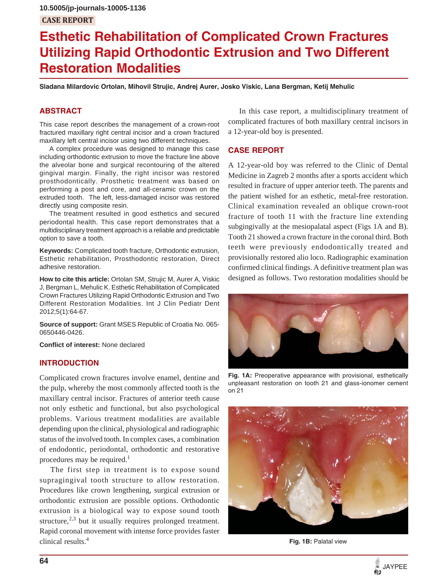# **Esthetic Rehabilitation of Complicated Crown Fractures Utilizing Rapid Orthodontic Extrusion and Two Different Restoration Modalities**

**Sladana Milardovic Ortolan, Mihovil Strujic, Andrej Aurer, Josko Viskic, Lana Bergman, Ketij Mehulic**

# **ABSTRACT**

This case report describes the management of a crown-root fractured maxillary right central incisor and a crown fractured maxillary left central incisor using two different techniques.

A complex procedure was designed to manage this case including orthodontic extrusion to move the fracture line above the alveolar bone and surgical recontouring of the altered gingival margin. Finally, the right incisor was restored prosthodontically. Prosthetic treatment was based on performing a post and core, and all-ceramic crown on the extruded tooth. The left, less-damaged incisor was restored directly using composite resin.

The treatment resulted in good esthetics and secured periodontal health. This case report demonstrates that a multidisciplinary treatment approach is a reliable and predictable option to save a tooth.

**Keywords:** Complicated tooth fracture, Orthodontic extrusion, Esthetic rehabilitation, Prosthodontic restoration, Direct adhesive restoration.

**How to cite this article:** Ortolan SM, Strujic M, Aurer A, Viskic J, Bergman L, Mehulic K. Esthetic Rehabilitation of Complicated Crown Fractures Utilizing Rapid Orthodontic Extrusion and Two Different Restoration Modalities. Int J Clin Pediatr Dent 2012;5(1):64-67.

**Source of support:** Grant MSES Republic of Croatia No. 065- 0650446-0426.

**Conflict of interest:** None declared

#### **INTRODUCTION**

Complicated crown fractures involve enamel, dentine and the pulp, whereby the most commonly affected tooth is the maxillary central incisor. Fractures of anterior teeth cause not only esthetic and functional, but also psychological problems. Various treatment modalities are available depending upon the clinical, physiological and radiographic status of the involved tooth. In complex cases, a combination of endodontic, periodontal, orthodontic and restorative procedures may be required.<sup>1</sup>

The first step in treatment is to expose sound supragingival tooth structure to allow restoration. Procedures like crown lengthening, surgical extrusion or orthodontic extrusion are possible options. Orthodontic extrusion is a biological way to expose sound tooth structure, $2,3$  but it usually requires prolonged treatment. Rapid coronal movement with intense force provides faster clinical results.4

In this case report, a multidisciplinary treatment of complicated fractures of both maxillary central incisors in a 12-year-old boy is presented.

#### **CASE REPORT**

A 12-year-old boy was referred to the Clinic of Dental Medicine in Zagreb 2 months after a sports accident which resulted in fracture of upper anterior teeth. The parents and the patient wished for an esthetic, metal-free restoration. Clinical examination revealed an oblique crown-root fracture of tooth 11 with the fracture line extending subgingivally at the mesiopalatal aspect (Figs 1A and B). Tooth 21 showed a crown fracture in the coronal third. Both teeth were previously endodontically treated and provisionally restored alio loco. Radiographic examination confirmed clinical findings. A definitive treatment plan was designed as follows. Two restoration modalities should be



**Fig. 1A:** Preoperative appearance with provisional, esthetically unpleasant restoration on tooth 21 and glass-ionomer cement on 21



**Fig. 1B:** Palatal view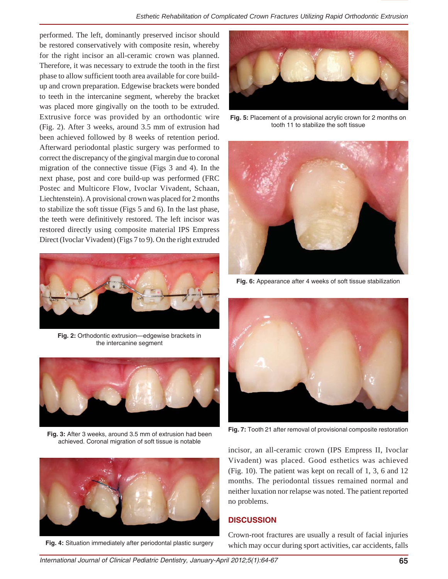performed. The left, dominantly preserved incisor should be restored conservatively with composite resin, whereby for the right incisor an all-ceramic crown was planned. Therefore, it was necessary to extrude the tooth in the first phase to allow sufficient tooth area available for core buildup and crown preparation. Edgewise brackets were bonded to teeth in the intercanine segment, whereby the bracket was placed more gingivally on the tooth to be extruded. Extrusive force was provided by an orthodontic wire (Fig. 2). After 3 weeks, around 3.5 mm of extrusion had been achieved followed by 8 weeks of retention period. Afterward periodontal plastic surgery was performed to correct the discrepancy of the gingival margin due to coronal migration of the connective tissue (Figs 3 and 4). In the next phase, post and core build-up was performed (FRC Postec and Multicore Flow, Ivoclar Vivadent, Schaan, Liechtenstein). A provisional crown was placed for 2 months to stabilize the soft tissue (Figs 5 and 6). In the last phase, the teeth were definitively restored. The left incisor was restored directly using composite material IPS Empress Direct (Ivoclar Vivadent) (Figs 7 to 9). On the right extruded



**Fig. 2:** Orthodontic extrusion—edgewise brackets in the intercanine segment



**Fig. 3:** After 3 weeks, around 3.5 mm of extrusion had been achieved. Coronal migration of soft tissue is notable



**Fig. 4:** Situation immediately after periodontal plastic surgery



**Fig. 5:** Placement of a provisional acrylic crown for 2 months on tooth 11 to stabilize the soft tissue



**Fig. 6:** Appearance after 4 weeks of soft tissue stabilization



**Fig. 7:** Tooth 21 after removal of provisional composite restoration

incisor, an all-ceramic crown (IPS Empress II, Ivoclar Vivadent) was placed. Good esthetics was achieved (Fig. 10). The patient was kept on recall of 1, 3, 6 and 12 months. The periodontal tissues remained normal and neither luxation nor relapse was noted. The patient reported no problems.

## **DISCUSSION**

Crown-root fractures are usually a result of facial injuries which may occur during sport activities, car accidents, falls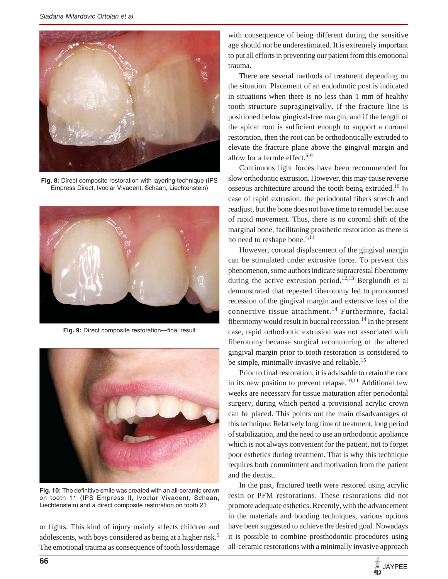

**Fig. 8:** Direct composite restoration with layering technique (IPS Empress Direct, Ivoclar Vivadent, Schaan, Liechtenstein)



**Fig. 9:** Direct composite restoration—final result



**Fig. 10:** The definitive smile was created with an all-ceramic crown on tooth 11 (IPS Empress II, Ivoclar Vivadent, Schaan, Liechtenstein) and a direct composite restoration on tooth 21

or fights. This kind of injury mainly affects children and adolescents, with boys considered as being at a higher risk.<sup>5</sup> The emotional trauma as consequence of tooth loss/demage with consequence of being different during the sensitive age should not be underestimated. It is extremely important to put all efforts in preventing our patient from this emotional trauma.

There are several methods of treatment depending on the situation. Placement of an endodontic post is indicated in situations when there is no less than 1 mm of healthy tooth structure supragingivally. If the fracture line is positioned below gingival-free margin, and if the length of the apical root is sufficient enough to support a coronal restoration, then the root can be orthodontically extruded to elevate the fracture plane above the gingival margin and allow for a ferrule effect. $6-9$ 

Continuous light forces have been recommended for slow orthodontic extrusion. However, this may cause reverse osseous architecture around the tooth being extruded.<sup>10</sup> In case of rapid extrusion, the periodontal fibers stretch and readjust, but the bone does not have time to remodel because of rapid movement. Thus, there is no coronal shift of the marginal bone, facilitating prosthetic restoration as there is no need to reshape bone.4,11

However, coronal displacement of the gingival margin can be stimulated under extrusive force. To prevent this phenomenon, some authors indicate supracrestal fiberotomy during the active extrusion period.<sup>12,13</sup> Berglundh et al demonstrated that repeated fiberotomy led to pronounced recession of the gingival margin and extensive loss of the connective tissue attachment.<sup>14</sup> Furthermore, facial fiberotomy would result in buccal recession.<sup>14</sup> In the present case, rapid orthodontic extrusion was not associated with fiberotomy because surgical recontouring of the altered gingival margin prior to tooth restoration is considered to be simple, minimally invasive and reliable.<sup>15</sup>

Prior to final restoration, it is advisable to retain the root in its new position to prevent relapse.<sup>10,11</sup> Additional few weeks are necessary for tissue maturation after periodontal surgery, during which period a provisional acrylic crown can be placed. This points out the main disadvantages of this technique: Relatively long time of treatment, long period of stabilization, and the need to use an orthodontic appliance which is not always convenient for the patient, not to forget poor esthetics during treatment. That is why this technique requires both commitment and motivation from the patient and the dentist.

In the past, fractured teeth were restored using acrylic resin or PFM restorations. These restorations did not promote adequate esthetics. Recently, with the advancement in the materials and bonding techniques, various options have been suggested to achieve the desired goal. Nowadays it is possible to combine prosthodontic procedures using all-ceramic restorations with a minimally invasive approach